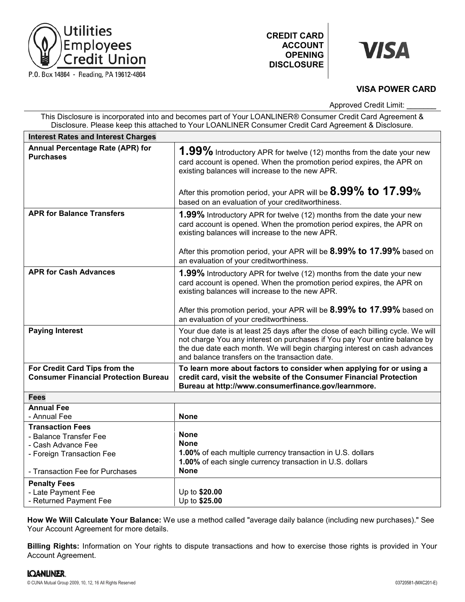

# **VISA**

# **VISA POWER CARD**

Approved Credit Limit:

| This Disclosure is incorporated into and becomes part of Your LOANLINER® Consumer Credit Card Agreement &<br>Disclosure. Please keep this attached to Your LOANLINER Consumer Credit Card Agreement & Disclosure. |                                                                                                                                                                                                                                                                                                                              |
|-------------------------------------------------------------------------------------------------------------------------------------------------------------------------------------------------------------------|------------------------------------------------------------------------------------------------------------------------------------------------------------------------------------------------------------------------------------------------------------------------------------------------------------------------------|
| <b>Interest Rates and Interest Charges</b>                                                                                                                                                                        |                                                                                                                                                                                                                                                                                                                              |
| Annual Percentage Rate (APR) for<br><b>Purchases</b>                                                                                                                                                              | 1.99% Introductory APR for twelve (12) months from the date your new<br>card account is opened. When the promotion period expires, the APR on<br>existing balances will increase to the new APR.<br>After this promotion period, your APR will be 8.99% to 17.99%                                                            |
|                                                                                                                                                                                                                   | based on an evaluation of your creditworthiness.                                                                                                                                                                                                                                                                             |
| <b>APR for Balance Transfers</b>                                                                                                                                                                                  | <b>1.99%</b> Introductory APR for twelve (12) months from the date your new<br>card account is opened. When the promotion period expires, the APR on<br>existing balances will increase to the new APR.<br>After this promotion period, your APR will be 8.99% to 17.99% based on<br>an evaluation of your creditworthiness. |
| <b>APR for Cash Advances</b>                                                                                                                                                                                      | 1.99% Introductory APR for twelve (12) months from the date your new<br>card account is opened. When the promotion period expires, the APR on<br>existing balances will increase to the new APR.<br>After this promotion period, your APR will be 8.99% to 17.99% based on                                                   |
|                                                                                                                                                                                                                   | an evaluation of your creditworthiness.                                                                                                                                                                                                                                                                                      |
| <b>Paying Interest</b>                                                                                                                                                                                            | Your due date is at least 25 days after the close of each billing cycle. We will<br>not charge You any interest on purchases if You pay Your entire balance by<br>the due date each month. We will begin charging interest on cash advances<br>and balance transfers on the transaction date.                                |
| For Credit Card Tips from the<br><b>Consumer Financial Protection Bureau</b>                                                                                                                                      | To learn more about factors to consider when applying for or using a<br>credit card, visit the website of the Consumer Financial Protection<br>Bureau at http://www.consumerfinance.gov/learnmore.                                                                                                                           |
| <b>Fees</b>                                                                                                                                                                                                       |                                                                                                                                                                                                                                                                                                                              |
| <b>Annual Fee</b><br>- Annual Fee                                                                                                                                                                                 | <b>None</b>                                                                                                                                                                                                                                                                                                                  |
| <b>Transaction Fees</b><br>- Balance Transfer Fee<br>- Cash Advance Fee<br>- Foreign Transaction Fee<br>- Transaction Fee for Purchases                                                                           | <b>None</b><br><b>None</b><br>1.00% of each multiple currency transaction in U.S. dollars<br>1.00% of each single currency transaction in U.S. dollars<br><b>None</b>                                                                                                                                                        |
| <b>Penalty Fees</b><br>- Late Payment Fee<br>- Returned Payment Fee                                                                                                                                               | Up to \$20.00<br>Up to \$25.00                                                                                                                                                                                                                                                                                               |

**How We Will Calculate Your Balance:** We use a method called "average daily balance (including new purchases)." See Your Account Agreement for more details.

**Billing Rights:** Information on Your rights to dispute transactions and how to exercise those rights is provided in Your Account Agreement.